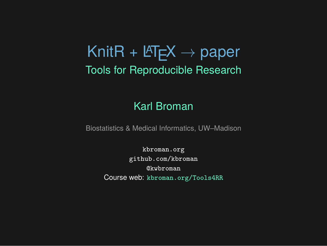# KnitR + LATEX *→* paper Tools for Reproducible Research

#### Karl Broman

Biostatistics & Medical Informatics, UW–Madison

kbroman.org github.com/kbroman @kwbroman Course web: kbroman.org/Tools4RR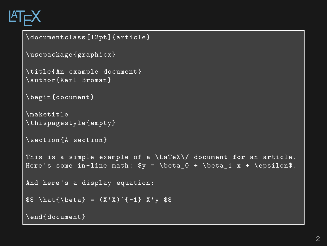# **LATEX**

```
\documentclass[12pt]{article}
\usepackage{graphicx}
\title{An example document}
\author{Karl Broman}
\begin{document}
\maketitle
\thispagestyle{empty}
\section{A section}
This is a simple example of a \LaTeX\/ document for an article.
Here's some in-line math: y = \beta_0 + \beta_1 x + \epsilon.And here's a display equation:
$ \hat{\beta} = (X'X)^{-{-1} X'y $$
\end{document}
```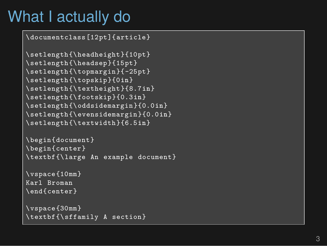## What I actually do

\documentclass[12pt]{article}

```
\setlength{\headheight}{10pt}
\setlength{\headsep}{15pt}
\setlength{\topmargin}{-25pt}
\setlength{\topskip}{0in
}
\setlength{\textheight}{8.7in
}
\setlength{\footskip}{0.3in
}
\setlength{\oddsidemargin}{0.0in
}
\setlength{\evensidemargin}{0.0in
}
\setlength{\textwidth}{6.5in
}
```

```
\begin{document}
\begin{center}
\textbf{\large An example document}
```
\vspace{10mm} Karl Broman \end{center}

```
\vspace{30mm}
\textbf{\sffamily A section}
```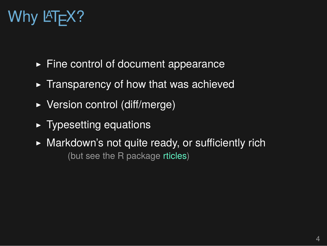# Why LAT<sub>E</sub>X?

- ▶ Fine control of document appearance
- $\blacktriangleright$  Transparency of how that was achieved
- ▶ Version control (diff/merge)
- ▶ Typesetting equations
- ▶ Markdown's not quite ready, or sufficiently rich (but see the R package rticles)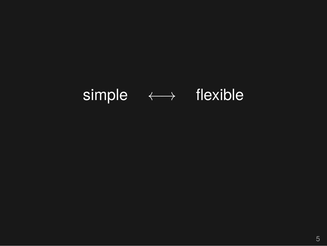# simple *←→* flexible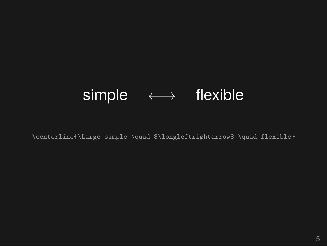### simple *←→* flexible

\centerline{\Large simple \quad \$\longleftrightarrow\$ \quad flexible}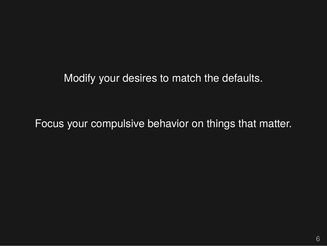Modify your desires to match the defaults.

Focus your compulsive behavior on things that matter.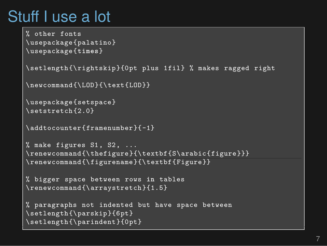## Stuff I use a lot

```
% other fonts
\usepackage{palatino}
\usepackage{times}
\setlength{\rightskip}{0pt plus 1fil} % makes ragged right
\newcommand{\LOD}{\text{LOD}}
\usepackage{setspace}
\setstretch{2.0}
\addtocounter{framenumber}{-1}
% make figures S1, S2, ...
\renewcommand{\thefigure}{\textbf{S\arabic{figure}}}
\renewcommand{\figurename}{\textbf{Figure}}
% bigger space between rows in tables
\renewcommand{\arraystretch}{1.5}
% paragraphs not indented but have space between
\setlength{\parskip}{6pt}
\setlength{\parindent}{0pt}
```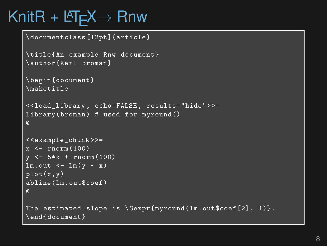# KnitR + LATEX*→* Rnw

```
\documentclass[12pt]{article}
\title{An example Rnw document}
\author{Karl Broman}
\begin{document}
\maketitle
<<load_library , echo=FALSE, results="hide">>=
library(broman) # used for myround()
@
<<example_chunk >>=
x \le - rnorm (100)
y \le -5*x + \text{norm}(100)lm.out < - lm(y - x)plot(x,y)
abline(lm.out$coef)
@
The estimated slope is \Srexpr{myround(lm.out$coef[2], 1)}.
\end{document}
```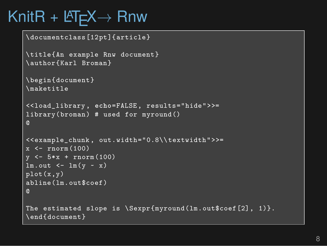# KnitR + LATEX*→* Rnw

```
\documentclass[12pt]{article}
\title{An example Rnw document}
\author{Karl Broman}
\begin{document}
\maketitle
<<load_library , echo=FALSE, results="hide">>=
library(broman) # used for myround()
@
<<example_chunk , out.width="0.8\\textwidth">>=
x \le - rnorm (100)
y \le -5*x + \text{norm}(100)lm.out < - lm(y - x)plot(x,y)
abline(lm.out$coef)
@
The estimated slope is \Srexpr{myround(lm.out$coef[2], 1)}.
\end{document}
```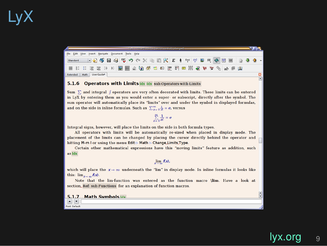# LyX

#### the Edit Yiew Insert Novigate Document Tools Help standard → D 等日本 S D ウ ov X D D X E | tv 学 B 用 ● B B j D + O + O

#### 5.1.6 Operators with Limits Idx Idx sub:Operators-with-Limits

Lay Keimy Ulberto

Sum  $\sum$  and integral  $f$  operators are very often decorated with limits. These limits can be entered<br>in LyX by entering them as you would enter a super-or e subscript, directly after the symbol. The<br>sum operator will aut

#### $\sum_{n=0}^{\infty} \frac{1}{n!} = e$

Integral signs, however, will place the limits on the side in both formula types.<br>
All operators with limits will be automatically re-sized when placed in display mode. The<br>
placement of the limits can be changed by placi

 $\frac{1}{\text{as } \text{Idx}}$ 

#### $\lim_{x \to \infty} f(x)$ ,

which will place the  $x \to \infty$  underneath the "im" in display mode. In inline formulas it looks like<br>this: lim<sub>x-an</sub> $dx$ ).<br>Note that the lim-function was entered as the function macro **\lim**. Have a look at<br>section. Ref. su

5.1.7 Math Symbols Idx

Extended | Math UserGuide\* |

lyx.org 9

鸟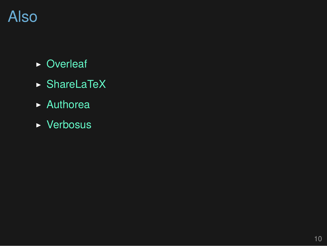# Also

- ▶ Overleaf
- ▶ ShareLaTeX
- ▶ Authorea
- ▶ Verbosus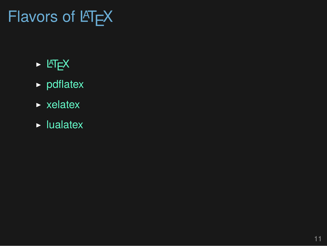# Flavors of LAT<sub>E</sub>X

- $\blacktriangleright$  LAT<sub>E</sub>X
- ▶ pdflatex
- ▶ xelatex
- $\blacktriangleright$  lualatex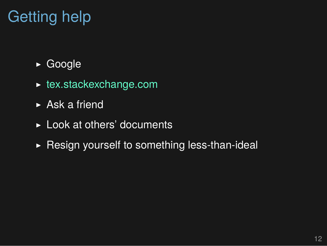# Getting help

- ▶ Google
- ▶ tex.stackexchange.com
- ▶ Ask a friend
- ▶ Look at others' documents
- $\blacktriangleright$  Resign yourself to something less-than-ideal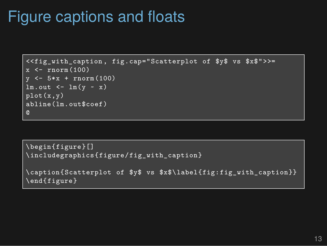## Figure captions and floats

```
<<fig_with_caption , fig.cap="Scatterplot of $y$ vs $x$">>=
x \leftarrow \text{rnorm}(100)y \le -5*x + \text{rnorm}(100)lm.out < - lm(y - x)plot(x,y)
abline(lm.out$coef)
@
```
\begin{figure}[] \includegraphics{figure/fig\_with\_caption}

```
\caption{Scatterplot of $y$ vs $x$\label{fig:fig_with_caption}}
\end{figure}
```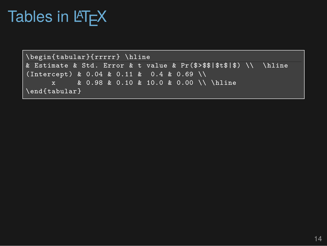# Tables in LATEX

```
\begin{tabular}{rrrrr} \hline
& Estimate & Std. Error & t value & Pr(\$>$$|$t$|$) \\ \hline
(Intercept) & 0.04 & 0.11 & 0.4 & 0.69 \\
      x & 0.98 & 0.10 & 10.0 & 0.00 \\ \hline
\end{tabular}
```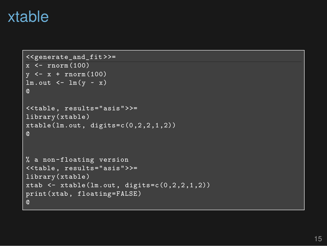### xtable

```
<<generate_and_fit >>=
x \leftarrow \text{rnorm}(100)y \leftarrow x + \text{norm}(100)lm.out < - lm(y - x)@
<<table, results="asis">>=
library(xtable)
xtable(lm.out, digits=c(0,2,2,1,2))@
% a non-floating version
<<table, results="asis">>=
library(xtable)
xtab \leq xtable(lm.out, digits=c(0, 2, 2, 1, 2))
print(xtab, floating=FALSE)
@
```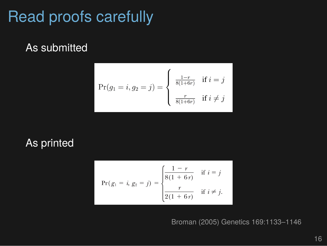## Read proofs carefully

As submitted

$$
\Pr(g_1 = i, g_2 = j) = \begin{cases} \frac{1-r}{8(1+6r)} & \text{if } i = j\\ \frac{r}{8(1+6r)} & \text{if } i \neq j \end{cases}
$$

As printed

$$
\Pr(g_1 = i, g_2 = j) = \begin{cases} \frac{1 - r}{8(1 + 6r)} & \text{if } i = j \\ \frac{r}{2(1 + 6r)} & \text{if } i \neq j. \end{cases}
$$

Broman (2005) Genetics 169:1133–1146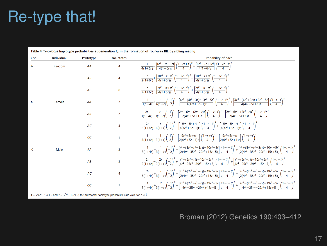## Re-type that!

| Chr.         | Individual | Prototype  | No. states     | Probability of each                                                                                                                                                                                                                                                                                                                                               |
|--------------|------------|------------|----------------|-------------------------------------------------------------------------------------------------------------------------------------------------------------------------------------------------------------------------------------------------------------------------------------------------------------------------------------------------------------------|
|              | Random     | AA         | 4              | $\frac{1}{4(1+6r)} - \left[\frac{6r^2-7r-3rs}{4(1+6r)s}\right] \left(\frac{1-2r+s}{4}\right)^k + \left[\frac{6r^2-7r+3rs}{4(1+6r)s}\right] \left(\frac{1-2r-s}{4}\right)^k$                                                                                                                                                                                       |
|              |            | AB         | 4              | $\frac{r}{2(1+6r)} + \left[\frac{10r^2 - r - rs}{4(1+6r)s}\right] \left(\frac{1-2r+s}{4}\right)^s - \left[\frac{10r^2 - r + rs}{4(1+6r)s}\right] \left(\frac{1-2r-s}{4}\right)^s$                                                                                                                                                                                 |
|              |            | AC         | 8              | $\frac{r}{2(1+6r)} - \left[ \frac{2r^2 + 3r + rs}{4(1+6r)c} \right] \left( \frac{1-2r+s}{4} \right)^k + \left[ \frac{2r^2 + 3r - rs}{4(1+6r)c} \right] \left( \frac{1-2r-s}{4} \right)^k$                                                                                                                                                                         |
| x            | Female     | AA         | $\overline{2}$ | $\frac{1}{3(1+4r)}+\frac{1}{6(1+r)}\left(-\frac{1}{2}\right)^k-\left[\frac{4r^3-(4r^2+3r)t+3r^2-5r}{4(4r^2+5r+1)t}\right]\left(\frac{1-r+t}{4}\right)^k+\left[\frac{4r^3+(4r^2+3r)t+3r^2-5r}{4(4r^2+5r+1)t}\right]\left(\frac{1-r-t}{4}\right)^k$                                                                                                                 |
|              |            | AB         | $\overline{2}$ | $\frac{2r}{3(1+4r)} + \frac{r}{3(1+r)} \left(-\frac{1}{2}\right)^k + \left[\frac{2r^3+6r^2-(2r^2+r)t}{2(4r^2+5r+1)t}\right] \left(\frac{1-r+t}{4}\right)^k - \left[\frac{2r^3+6r^2+(2r^2+r)t}{2(4r^2+5r+1)t}\right] \left(\frac{1-r-t}{4}\right)^k$                                                                                                               |
|              |            | AC         | 4              | $\frac{2r}{3(1+4r)} - \frac{r}{6(1+r)} \left(-\frac{1}{2}\right)^k - \left[\frac{9r^2+5r+rt}{4(4r^2+5r+1)t}\right] \left(\frac{1-r+t}{4}\right)^k + \left[\frac{9r^2+5r-rt}{4(4r^2+5r+1)t}\right] \left(\frac{1-r-t}{4}\right)^k$                                                                                                                                 |
|              |            | $\epsilon$ | 1              | $\frac{1}{2(1+4c)} - \frac{1}{2(1+c)} \left(-\frac{1}{2}\right)^k + \left[\frac{9r^2+5r+rt}{2(4r^2+5r+1)r}\right] \left(\frac{1-r+t}{4}\right)^k - \left[\frac{9r^2+5r-rt}{2(4r^2+5r+1)r}\right] \left(\frac{1-r-t}{4}\right)^k$                                                                                                                                  |
| $\mathsf{x}$ | Male       | AA         | $\overline{a}$ | $\frac{1}{3(1+4r)}-\frac{1}{3(1+r)}\left(-\frac{1}{2}\right)^k+\left[\frac{r^3-(8r^3+r^2-3r)t-10r^2+5r}{2(4r^4-35r^3-29r^2+15r+5)}\right]\left(\frac{1-r+t}{4}\right)^k+\left[\frac{r^3+(8r^3+r^2-3r)t-10r^2+5r}{2(4r^4-35r^3-29r^2+15r+5)}\right]\left(\frac{1-r-t}{4}\right)^k$                                                                                 |
|              |            | AB         | $\overline{a}$ | $\frac{2r}{3(1+4r)} - \frac{2r}{3(1+r)} \left(-\frac{1}{2}\right)^k + \left[\frac{r^4 + (5r^3 - r)t - 10r^3 + 5r^2}{4r^4 - 35r^3 - 29r^2 + 15r + 5}\right] \left(\frac{1-r+t}{4}\right)^k + \left[\frac{r^4 - (5r^3 - r)t - 10r^3 + 5r^2}{4r^4 - 35r^3 - 29r^2 + 15r + 5}\right] \left(\frac{1-r-t}{4}\right)^k$                                                  |
|              |            | AC         | 4              | $\frac{2r}{3(1+4r)} + \frac{r}{3(1+r)} \left(-\frac{1}{2}\right)^{5} - \left[\frac{2r^{4} + (2r^{3} - r^{2} + r)t - 19r^{3} + 5r}{2(4r^{4} - 35r^{3} - 29r^{2} + 15r + 5)}\right] \left(\frac{1-r+t}{4}\right)^{5} - \left[\frac{2r^{4} - (2r^{3} - r^{2} + r)t - 19r^{3} + 5r}{2(4r^{4} - 35r^{3} - 29r^{2} + 15r + 5)}\right] \left(\frac{1-r-t}{4}\right)^{5}$ |
|              |            | $\epsilon$ |                | $\frac{1}{3(1+4\epsilon)}+\frac{2}{3(1+\epsilon)}\left(-\frac{1}{2}\right)^k+\left[\frac{2r^4+(2r^3-r^2+r)t-19r^3+5r}{4r^4-35r^3-29r^2+15r+5}\right]\left(\frac{1-r+t}{4}\right)^k+\left[\frac{2r^4-(2r^3-r^2+r)t-19r^3+5r}{4r^4-35r^3-29r^2+15r+5}\right]\left(\frac{1-r-t}{4}\right)^k$                                                                         |

#### Broman (2012) Genetics 190:403–412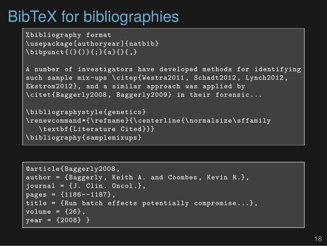# BibTeX for bibliographies

```
%bibliography format
\usepackage[authoryear]{natbib}
\bibpunct{(}{)}{;}{a}{}{,}
```
A number of investigators have developed methods **for** identifying such sample mix-ups \citep{Westra2011, Schadt2012, Lynch2012, Ekstrom2012}, and a similar approach was applied by \citet{Baggerly2008 , Baggerly2009} **in** their forensic...

```
\bibliographystyle{genetics}
\renewcommand*{\refname}{\centerline{\normalsize\sffamily
  \textbf{Literature Cited}}}
\bibliography{samplemixups}
```

```
@article{Baggerly2008 ,
author = {Baggerly , Keith A. and Coombes , Kevin R.},
journal = {J. Clin. Oncol.},pages = \{1186--1187\},
title = {Run batch effects potentially compromise...},
volume = {26},
year = {2008} }
```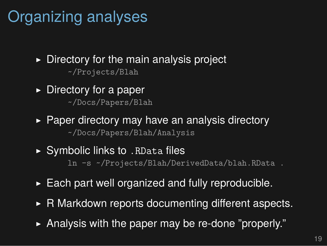# Organizing analyses

- $\triangleright$  Directory for the main analysis project ~/Projects/Blah
- $\triangleright$  Directory for a paper ~/Docs/Papers/Blah
- ▶ Paper directory may have an analysis directory ~/Docs/Papers/Blah/Analysis
- ▶ Symbolic links to . RData files ln -s ~/Projects/Blah/DerivedData/blah.RData .
- $\triangleright$  Each part well organized and fully reproducible.
- ▶ R Markdown reports documenting different aspects.
- ▶ Analysis with the paper may be re-done "properly."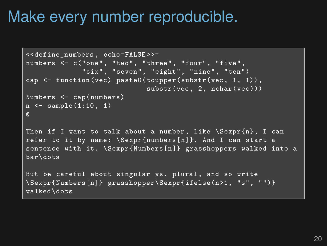### Make every number reproducible.

```
<<define_numbers , echo=FALSE >>=
numbers <- c("one", "two", "three", "four", "five",
             "six", "seven", "eight", "nine", "ten")
cap <- function(vec) paste0(toupper(substr(vec, 1, 1)),
                            substr(vec, 2, nchar(vec)))
Numbers <- cap(numbers)
n \le - sample(1:10, 1)@
Then if I want to talk about a number, like \Sexpr{n}, I can
refer to it by name: \Sexpr{numbers[n]}. And I can start a
sentence with it. \Sexpr{Numbers[n]} grasshoppers walked into a
bar\dots
But be careful about singular vs. plural, and so write
\Sexpr{Numbers[n]} grasshopper\Sexpr{ifelse(n>1, "s", "")}
walked\dots
```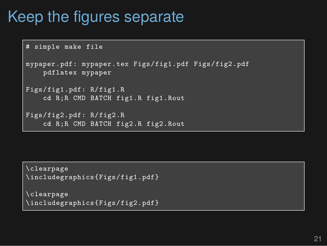## Keep the figures separate

```
# simple make file
mypaper.pdf: mypaper.tex Figs/fig1.pdf Figs/fig2.pdf
    pdflatex mypaper
Figs/fig1.pdf: R/fig1.R
    cd R;R CMD BATCH fig1.R fig1.Rout
Figs/fig2.pdf: R/fig2.R
    cd R;R CMD BATCH fig2.R fig2.Rout
```
\clearpage \includegraphics{Figs/fig1.pdf}

```
\clearpage
\includegraphics{Figs/fig2.pdf}
```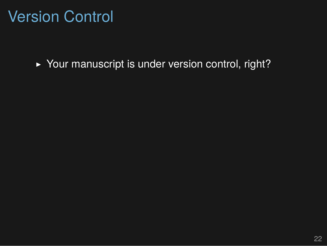## Version Control

▶ Your manuscript is under version control, right?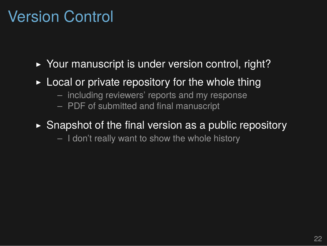## Version Control

- ▶ Your manuscript is under version control, right?
- $\triangleright$  Local or private repository for the whole thing
	- including reviewers' reports and my response
	- PDF of submitted and final manuscript
- $\triangleright$  Snapshot of the final version as a public repository
	- I don't really want to show the whole history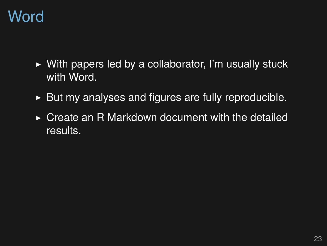## Word

- ▶ With papers led by a collaborator, I'm usually stuck with Word.
- ▶ But my analyses and figures are fully reproducible.
- ▶ Create an R Markdown document with the detailed results.